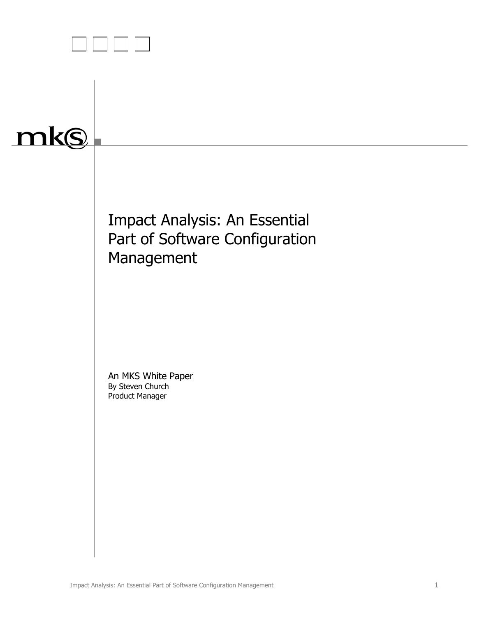

# mks

Impact Analysis: An Essential Part of Software Configuration Management

An MKS White Paper By Steven Church Product Manager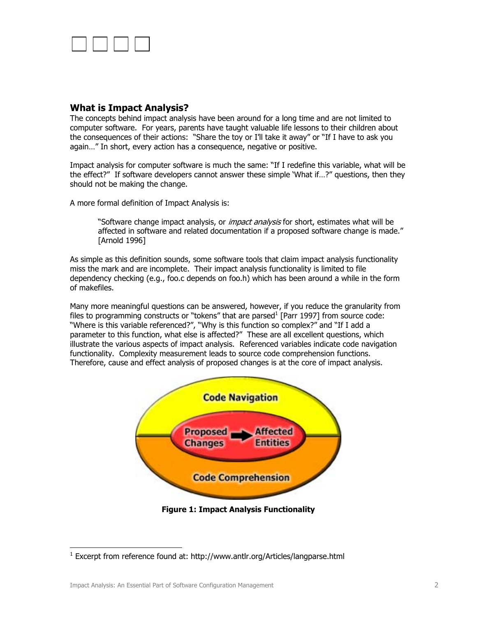

## **What is Impact Analysis?**

The concepts behind impact analysis have been around for a long time and are not limited to computer software. For years, parents have taught valuable life lessons to their children about the consequences of their actions: "Share the toy or I'll take it away" or "If I have to ask you again…" In short, every action has a consequence, negative or positive.

Impact analysis for computer software is much the same: "If I redefine this variable, what will be the effect?" If software developers cannot answer these simple 'What if…?" questions, then they should not be making the change.

A more formal definition of Impact Analysis is:

"Software change impact analysis, or *impact analysis* for short, estimates what will be affected in software and related documentation if a proposed software change is made." [Arnold 1996]

As simple as this definition sounds, some software tools that claim impact analysis functionality miss the mark and are incomplete. Their impact analysis functionality is limited to file dependency checking (e.g., foo.c depends on foo.h) which has been around a while in the form of makefiles.

Many more meaningful questions can be answered, however, if you reduce the granularity from files to programming constructs or "tokens" that are parsed $^1$  [Parr 1997] from source code: "Where is this variable referenced?", "Why is this function so complex?" and "If I add a parameter to this function, what else is affected?" These are all excellent questions, which illustrate the various aspects of impact analysis. Referenced variables indicate code navigation functionality. Complexity measurement leads to source code comprehension functions. Therefore, cause and effect analysis of proposed changes is at the core of impact analysis.



**Figure 1: Impact Analysis Functionality** 

 $\overline{a}$ 

<sup>&</sup>lt;sup>1</sup> Excerpt from reference found at: http://www.antlr.org/Articles/langparse.html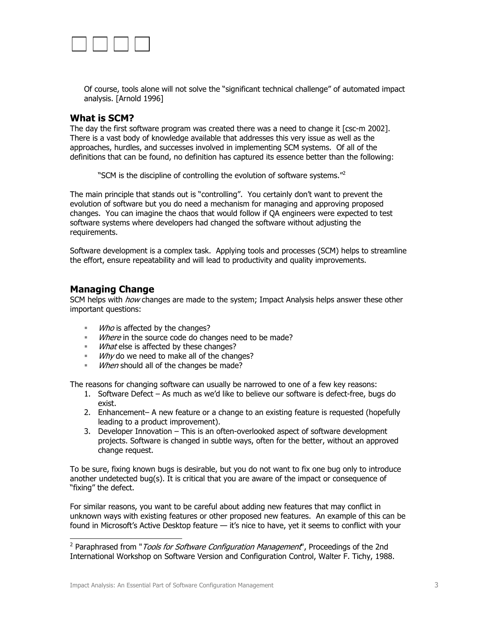

Of course, tools alone will not solve the "significant technical challenge" of automated impact analysis. [Arnold 1996]

#### **What is SCM?**

The day the first software program was created there was a need to change it [csc-m 2002]. There is a vast body of knowledge available that addresses this very issue as well as the approaches, hurdles, and successes involved in implementing SCM systems. Of all of the definitions that can be found, no definition has captured its essence better than the following:

"SCM is the discipline of controlling the evolution of software systems."<sup>2</sup>

The main principle that stands out is "controlling". You certainly don't want to prevent the evolution of software but you do need a mechanism for managing and approving proposed changes. You can imagine the chaos that would follow if QA engineers were expected to test software systems where developers had changed the software without adjusting the requirements.

Software development is a complex task. Applying tools and processes (SCM) helps to streamline the effort, ensure repeatability and will lead to productivity and quality improvements.

### **Managing Change**

 $\overline{a}$ 

SCM helps with *how* changes are made to the system; Impact Analysis helps answer these other important questions:

- **Who is affected by the changes?**
- Where in the source code do changes need to be made?
- **What else is affected by these changes?**
- $W$  *Why* do we need to make all of the changes?
- When should all of the changes be made?

The reasons for changing software can usually be narrowed to one of a few key reasons:

- 1. Software Defect As much as we'd like to believe our software is defect-free, bugs do exist.
- 2. Enhancement– A new feature or a change to an existing feature is requested (hopefully leading to a product improvement).
- 3. Developer Innovation This is an often-overlooked aspect of software development projects. Software is changed in subtle ways, often for the better, without an approved change request.

To be sure, fixing known bugs is desirable, but you do not want to fix one bug only to introduce another undetected bug(s). It is critical that you are aware of the impact or consequence of "fixing" the defect.

For similar reasons, you want to be careful about adding new features that may conflict in unknown ways with existing features or other proposed new features. An example of this can be found in Microsoft's Active Desktop feature - it's nice to have, yet it seems to conflict with your

<sup>&</sup>lt;sup>2</sup> Paraphrased from "*Tools for Software Configuration Management*", Proceedings of the 2nd International Workshop on Software Version and Configuration Control, Walter F. Tichy, 1988.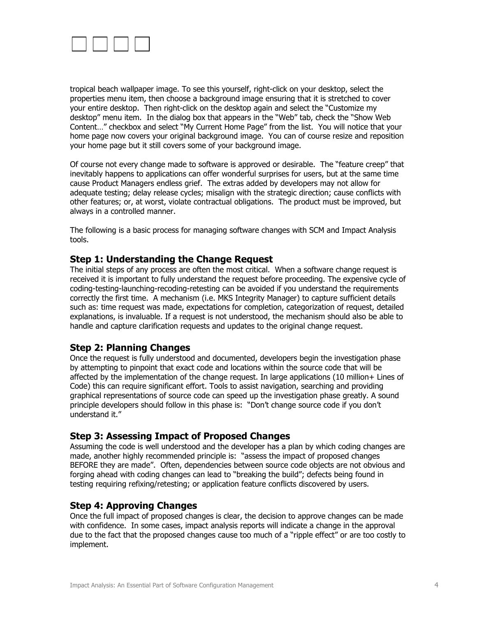

tropical beach wallpaper image. To see this yourself, right-click on your desktop, select the properties menu item, then choose a background image ensuring that it is stretched to cover your entire desktop. Then right-click on the desktop again and select the "Customize my desktop" menu item. In the dialog box that appears in the "Web" tab, check the "Show Web Content…" checkbox and select "My Current Home Page" from the list. You will notice that your home page now covers your original background image. You can of course resize and reposition your home page but it still covers some of your background image.

Of course not every change made to software is approved or desirable. The "feature creep" that inevitably happens to applications can offer wonderful surprises for users, but at the same time cause Product Managers endless grief. The extras added by developers may not allow for adequate testing; delay release cycles; misalign with the strategic direction; cause conflicts with other features; or, at worst, violate contractual obligations. The product must be improved, but always in a controlled manner.

The following is a basic process for managing software changes with SCM and Impact Analysis tools.

### **Step 1: Understanding the Change Request**

The initial steps of any process are often the most critical. When a software change request is received it is important to fully understand the request before proceeding. The expensive cycle of coding-testing-launching-recoding-retesting can be avoided if you understand the requirements correctly the first time. A mechanism (i.e. MKS Integrity Manager) to capture sufficient details such as: time request was made, expectations for completion, categorization of request, detailed explanations, is invaluable. If a request is not understood, the mechanism should also be able to handle and capture clarification requests and updates to the original change request.

### **Step 2: Planning Changes**

Once the request is fully understood and documented, developers begin the investigation phase by attempting to pinpoint that exact code and locations within the source code that will be affected by the implementation of the change request. In large applications (10 million+ Lines of Code) this can require significant effort. Tools to assist navigation, searching and providing graphical representations of source code can speed up the investigation phase greatly. A sound principle developers should follow in this phase is: "Don't change source code if you don't understand it."

### **Step 3: Assessing Impact of Proposed Changes**

Assuming the code is well understood and the developer has a plan by which coding changes are made, another highly recommended principle is: "assess the impact of proposed changes BEFORE they are made". Often, dependencies between source code objects are not obvious and forging ahead with coding changes can lead to "breaking the build"; defects being found in testing requiring refixing/retesting; or application feature conflicts discovered by users.

### **Step 4: Approving Changes**

Once the full impact of proposed changes is clear, the decision to approve changes can be made with confidence. In some cases, impact analysis reports will indicate a change in the approval due to the fact that the proposed changes cause too much of a "ripple effect" or are too costly to implement.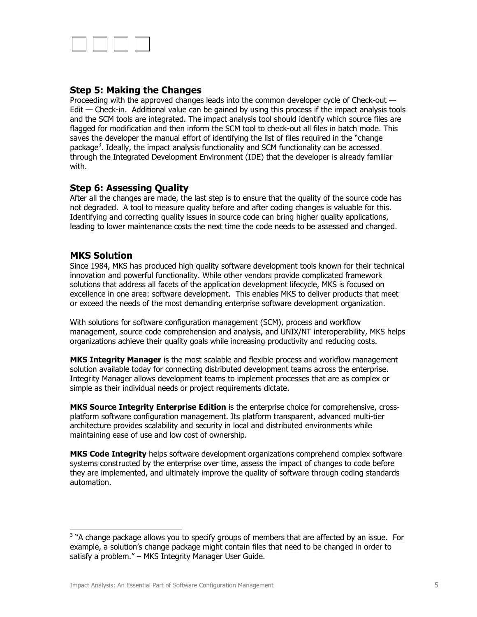

## **Step 5: Making the Changes**

Proceeding with the approved changes leads into the common developer cycle of Check-out — Edit — Check-in. Additional value can be gained by using this process if the impact analysis tools and the SCM tools are integrated. The impact analysis tool should identify which source files are flagged for modification and then inform the SCM tool to check-out all files in batch mode. This saves the developer the manual effort of identifying the list of files required in the "change package<sup>3</sup>. Ideally, the impact analysis functionality and SCM functionality can be accessed through the Integrated Development Environment (IDE) that the developer is already familiar with.

## **Step 6: Assessing Quality**

After all the changes are made, the last step is to ensure that the quality of the source code has not degraded. A tool to measure quality before and after coding changes is valuable for this. Identifying and correcting quality issues in source code can bring higher quality applications, leading to lower maintenance costs the next time the code needs to be assessed and changed.

### **MKS Solution**

-

Since 1984, MKS has produced high quality software development tools known for their technical innovation and powerful functionality. While other vendors provide complicated framework solutions that address all facets of the application development lifecycle, MKS is focused on excellence in one area: software development. This enables MKS to deliver products that meet or exceed the needs of the most demanding enterprise software development organization.

With solutions for software configuration management (SCM), process and workflow management, source code comprehension and analysis, and UNIX/NT interoperability, MKS helps organizations achieve their quality goals while increasing productivity and reducing costs.

**MKS Integrity Manager** is the most scalable and flexible process and workflow management solution available today for connecting distributed development teams across the enterprise. Integrity Manager allows development teams to implement processes that are as complex or simple as their individual needs or project requirements dictate.

**MKS Source Integrity Enterprise Edition** is the enterprise choice for comprehensive, crossplatform software configuration management. Its platform transparent, advanced multi-tier architecture provides scalability and security in local and distributed environments while maintaining ease of use and low cost of ownership.

**MKS Code Integrity** helps software development organizations comprehend complex software systems constructed by the enterprise over time, assess the impact of changes to code before they are implemented, and ultimately improve the quality of software through coding standards automation.

 $3$  "A change package allows you to specify groups of members that are affected by an issue. For example, a solution's change package might contain files that need to be changed in order to satisfy a problem." – MKS Integrity Manager User Guide.